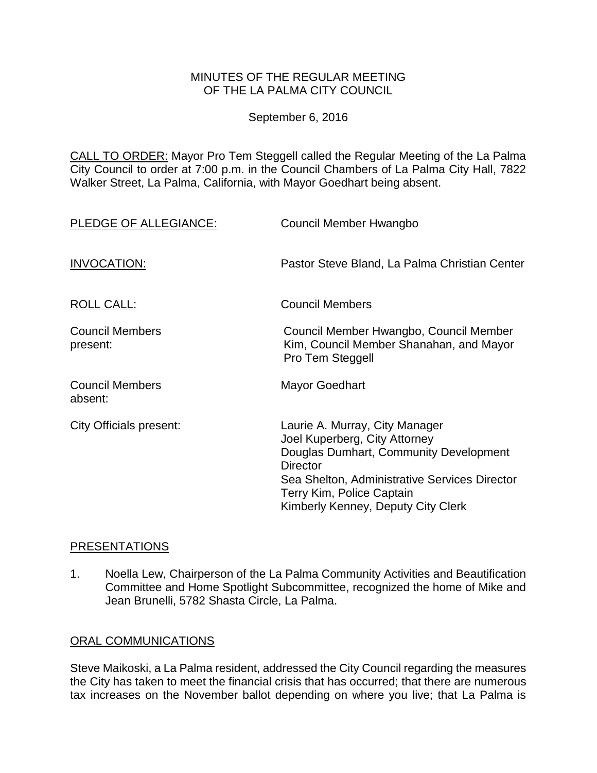## MINUTES OF THE REGULAR MEETING OF THE LA PALMA CITY COUNCIL

September 6, 2016

CALL TO ORDER: [Mayor Pro Tem Steggell called the Regular Meeting of the La Palma](http://lapalma.granicus.com/MediaPlayer.php?view_id=&clip_id=1032&meta_id=135990)  [City Council to order at 7:00 p.m. in the Council Chambers of La Palma City Hall, 7822](http://lapalma.granicus.com/MediaPlayer.php?view_id=&clip_id=1032&meta_id=135990)  [Walker Street, La Palma, California, with Mayor Goedhart being absent.](http://lapalma.granicus.com/MediaPlayer.php?view_id=&clip_id=1032&meta_id=135990)

| PLEDGE OF ALLEGIANCE:              | Council Member Hwangbo                                                                                                                                                                                                                           |
|------------------------------------|--------------------------------------------------------------------------------------------------------------------------------------------------------------------------------------------------------------------------------------------------|
| INVOCATION:                        | Pastor Steve Bland, La Palma Christian Center                                                                                                                                                                                                    |
| ROLL CALL:                         | <b>Council Members</b>                                                                                                                                                                                                                           |
| <b>Council Members</b><br>present: | Council Member Hwangbo, Council Member<br>Kim, Council Member Shanahan, and Mayor<br>Pro Tem Steggell                                                                                                                                            |
| <b>Council Members</b><br>absent:  | <b>Mayor Goedhart</b>                                                                                                                                                                                                                            |
| <b>City Officials present:</b>     | Laurie A. Murray, City Manager<br>Joel Kuperberg, City Attorney<br>Douglas Dumhart, Community Development<br><b>Director</b><br>Sea Shelton, Administrative Services Director<br>Terry Kim, Police Captain<br>Kimberly Kenney, Deputy City Clerk |

## [PRESENTATIONS](http://lapalma.granicus.com/MediaPlayer.php?view_id=&clip_id=1032&meta_id=135994)

1. [Noella Lew, Chairperson of the La Palma Community Activities and Beautification](http://lapalma.granicus.com/MediaPlayer.php?view_id=&clip_id=1032&meta_id=135995)  [Committee and Home Spotlight Subcommittee, recognized the home of Mike and](http://lapalma.granicus.com/MediaPlayer.php?view_id=&clip_id=1032&meta_id=135995)  [Jean Brunelli, 5782 Shasta Circle, La Palma.](http://lapalma.granicus.com/MediaPlayer.php?view_id=&clip_id=1032&meta_id=135995)

# [ORAL COMMUNICATIONS](http://lapalma.granicus.com/MediaPlayer.php?view_id=&clip_id=1032&meta_id=135996)

Steve Maikoski, a La Palma resident, addressed the City Council regarding the measures the City has taken to meet the financial crisis that has occurred; that there are numerous tax increases on the November ballot depending on where you live; that La Palma is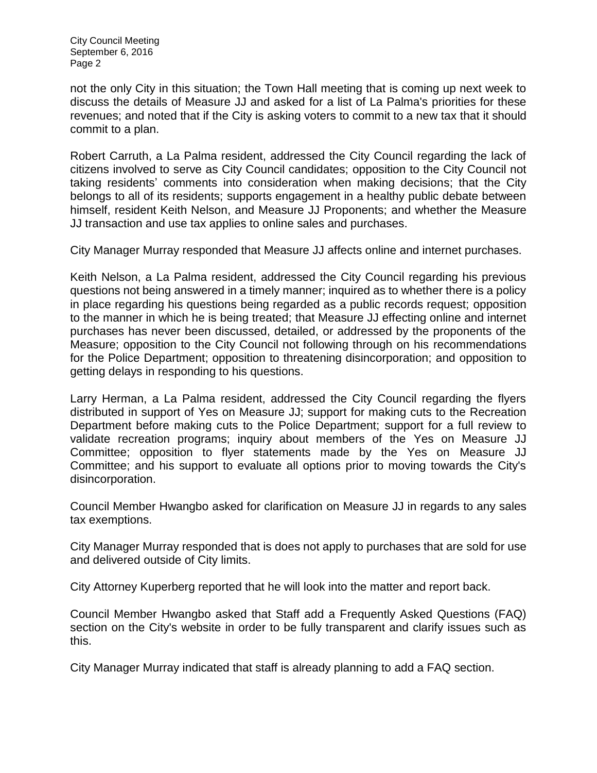not the only City in this situation; the Town Hall meeting that is coming up next week to discuss the details of Measure JJ and asked for a list of La Palma's priorities for these revenues; and noted that if the City is asking voters to commit to a new tax that it should commit to a plan.

Robert Carruth, a La Palma resident, addressed the City Council regarding the lack of citizens involved to serve as City Council candidates; opposition to the City Council not taking residents' comments into consideration when making decisions; that the City belongs to all of its residents; supports engagement in a healthy public debate between himself, resident Keith Nelson, and Measure JJ Proponents; and whether the Measure JJ transaction and use tax applies to online sales and purchases.

City Manager Murray responded that Measure JJ affects online and internet purchases.

Keith Nelson, a La Palma resident, addressed the City Council regarding his previous questions not being answered in a timely manner; inquired as to whether there is a policy in place regarding his questions being regarded as a public records request; opposition to the manner in which he is being treated; that Measure JJ effecting online and internet purchases has never been discussed, detailed, or addressed by the proponents of the Measure; opposition to the City Council not following through on his recommendations for the Police Department; opposition to threatening disincorporation; and opposition to getting delays in responding to his questions.

Larry Herman, a La Palma resident, addressed the City Council regarding the flyers distributed in support of Yes on Measure JJ; support for making cuts to the Recreation Department before making cuts to the Police Department; support for a full review to validate recreation programs; inquiry about members of the Yes on Measure JJ Committee; opposition to flyer statements made by the Yes on Measure JJ Committee; and his support to evaluate all options prior to moving towards the City's disincorporation.

Council Member Hwangbo asked for clarification on Measure JJ in regards to any sales tax exemptions.

City Manager Murray responded that is does not apply to purchases that are sold for use and delivered outside of City limits.

City Attorney Kuperberg reported that he will look into the matter and report back.

Council Member Hwangbo asked that Staff add a Frequently Asked Questions (FAQ) section on the City's website in order to be fully transparent and clarify issues such as this.

City Manager Murray indicated that staff is already planning to add a FAQ section.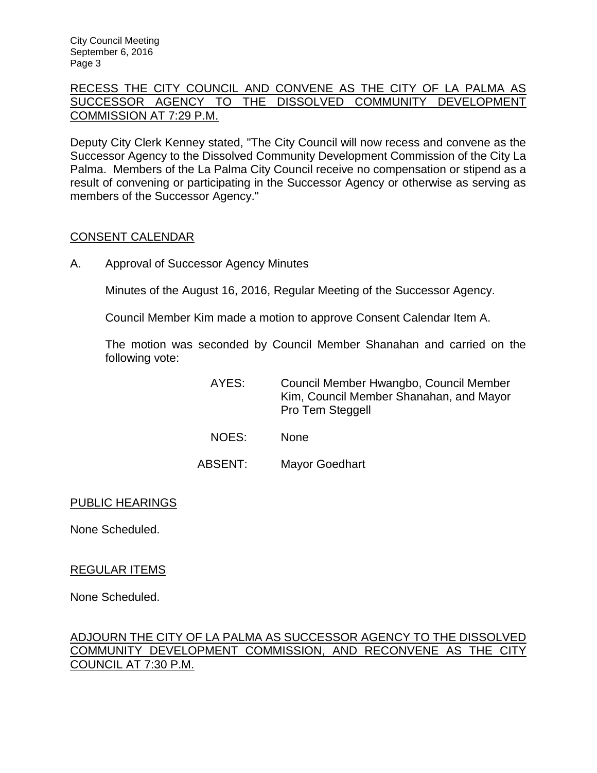# [RECESS THE CITY COUNCIL AND CONVENE AS THE CITY OF LA PALMA AS](http://lapalma.granicus.com/MediaPlayer.php?view_id=&clip_id=1032&meta_id=136006)  [SUCCESSOR AGENCY TO THE DISSOLVED COMMUNITY DEVELOPMENT](http://lapalma.granicus.com/MediaPlayer.php?view_id=&clip_id=1032&meta_id=136006)  [COMMISSION AT 7:29 P.M.](http://lapalma.granicus.com/MediaPlayer.php?view_id=&clip_id=1032&meta_id=136006)

[Deputy City Clerk Kenney stated, "The City Council will now recess and convene as the](http://lapalma.granicus.com/MediaPlayer.php?view_id=&clip_id=1032&meta_id=136007)  [Successor Agency to the Dissolved Community Development Commission of the City La](http://lapalma.granicus.com/MediaPlayer.php?view_id=&clip_id=1032&meta_id=136007)  Palma. [Members of the La Palma City Council receive no compensation or stipend as a](http://lapalma.granicus.com/MediaPlayer.php?view_id=&clip_id=1032&meta_id=136007) [result of convening or participating in the Successor Agency or otherwise as serving as](http://lapalma.granicus.com/MediaPlayer.php?view_id=&clip_id=1032&meta_id=136007)  [members of the Successor Agency."](http://lapalma.granicus.com/MediaPlayer.php?view_id=&clip_id=1032&meta_id=136007)

## [CONSENT CALENDAR](http://lapalma.granicus.com/MediaPlayer.php?view_id=&clip_id=1032&meta_id=136008)

A. Approval of Successor Agency Minutes

Minutes of the August 16, 2016, Regular Meeting of the Successor Agency.

Council Member Kim made a motion to approve Consent Calendar Item A.

The motion was seconded by Council Member Shanahan and carried on the following vote:

| AYES: | Council Member Hwangbo, Council Member  |
|-------|-----------------------------------------|
|       | Kim, Council Member Shanahan, and Mayor |
|       | Pro Tem Steggell                        |

- NOES: None
- ABSENT: Mayor Goedhart

## PUBLIC HEARINGS

None Scheduled.

## REGULAR ITEMS

None Scheduled.

# [ADJOURN THE CITY OF LA PALMA AS SUCCESSOR AGENCY TO THE DISSOLVED](http://lapalma.granicus.com/MediaPlayer.php?view_id=&clip_id=1032&meta_id=136015)  [COMMUNITY DEVELOPMENT COMMISSION, AND RECONVENE AS THE CITY](http://lapalma.granicus.com/MediaPlayer.php?view_id=&clip_id=1032&meta_id=136015)  [COUNCIL AT 7:30 P.M.](http://lapalma.granicus.com/MediaPlayer.php?view_id=&clip_id=1032&meta_id=136015)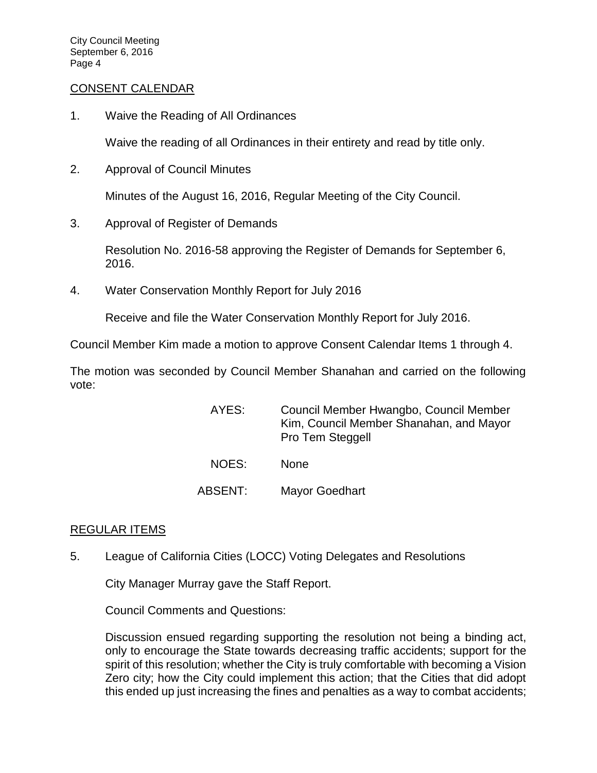#### [CONSENT CALENDAR](http://lapalma.granicus.com/MediaPlayer.php?view_id=&clip_id=1032&meta_id=136016)

1. Waive the Reading of All Ordinances

Waive the reading of all Ordinances in their entirety and read by title only.

2. Approval of Council Minutes

Minutes of the August 16, 2016, Regular Meeting of the City Council.

3. Approval of Register of Demands

Resolution No. 2016-58 approving the Register of Demands for September 6, 2016.

4. Water Conservation Monthly Report for July 2016

Receive and file the Water Conservation Monthly Report for July 2016.

Council Member Kim made a motion to approve Consent Calendar Items 1 through 4.

The motion was seconded by Council Member Shanahan and carried on the following vote:

- AYES: Council Member Hwangbo, Council Member Kim, Council Member Shanahan, and Mayor Pro Tem Steggell NOES: None
- ABSENT: Mayor Goedhart

## [REGULAR ITEMS](http://lapalma.granicus.com/MediaPlayer.php?view_id=&clip_id=1032&meta_id=136025)

5. [League of California Cities \(LOCC\) Voting Delegates and Resolutions](http://lapalma.granicus.com/MediaPlayer.php?view_id=&clip_id=1032&meta_id=136026)

City Manager Murray gave the Staff Report.

Council Comments and Questions:

Discussion ensued regarding supporting the resolution not being a binding act, only to encourage the State towards decreasing traffic accidents; support for the spirit of this resolution; whether the City is truly comfortable with becoming a Vision Zero city; how the City could implement this action; that the Cities that did adopt this ended up just increasing the fines and penalties as a way to combat accidents;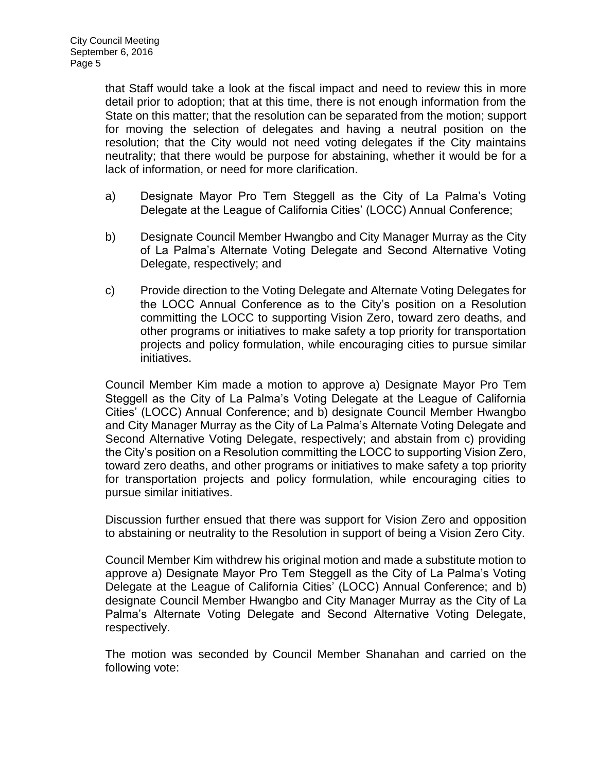that Staff would take a look at the fiscal impact and need to review this in more detail prior to adoption; that at this time, there is not enough information from the State on this matter; that the resolution can be separated from the motion; support for moving the selection of delegates and having a neutral position on the resolution; that the City would not need voting delegates if the City maintains neutrality; that there would be purpose for abstaining, whether it would be for a lack of information, or need for more clarification.

- a) Designate Mayor Pro Tem Steggell as the City of La Palma's Voting Delegate at the League of California Cities' (LOCC) Annual Conference;
- b) Designate Council Member Hwangbo and City Manager Murray as the City of La Palma's Alternate Voting Delegate and Second Alternative Voting Delegate, respectively; and
- c) Provide direction to the Voting Delegate and Alternate Voting Delegates for the LOCC Annual Conference as to the City's position on a Resolution committing the LOCC to supporting Vision Zero, toward zero deaths, and other programs or initiatives to make safety a top priority for transportation projects and policy formulation, while encouraging cities to pursue similar initiatives.

Council Member Kim made a motion to approve a) Designate Mayor Pro Tem Steggell as the City of La Palma's Voting Delegate at the League of California Cities' (LOCC) Annual Conference; and b) designate Council Member Hwangbo and City Manager Murray as the City of La Palma's Alternate Voting Delegate and Second Alternative Voting Delegate, respectively; and abstain from c) providing the City's position on a Resolution committing the LOCC to supporting Vision Zero, toward zero deaths, and other programs or initiatives to make safety a top priority for transportation projects and policy formulation, while encouraging cities to pursue similar initiatives.

Discussion further ensued that there was support for Vision Zero and opposition to abstaining or neutrality to the Resolution in support of being a Vision Zero City.

Council Member Kim withdrew his original motion and made a substitute motion to approve a) Designate Mayor Pro Tem Steggell as the City of La Palma's Voting Delegate at the League of California Cities' (LOCC) Annual Conference; and b) designate Council Member Hwangbo and City Manager Murray as the City of La Palma's Alternate Voting Delegate and Second Alternative Voting Delegate, respectively.

The motion was seconded by Council Member Shanahan and carried on the following vote: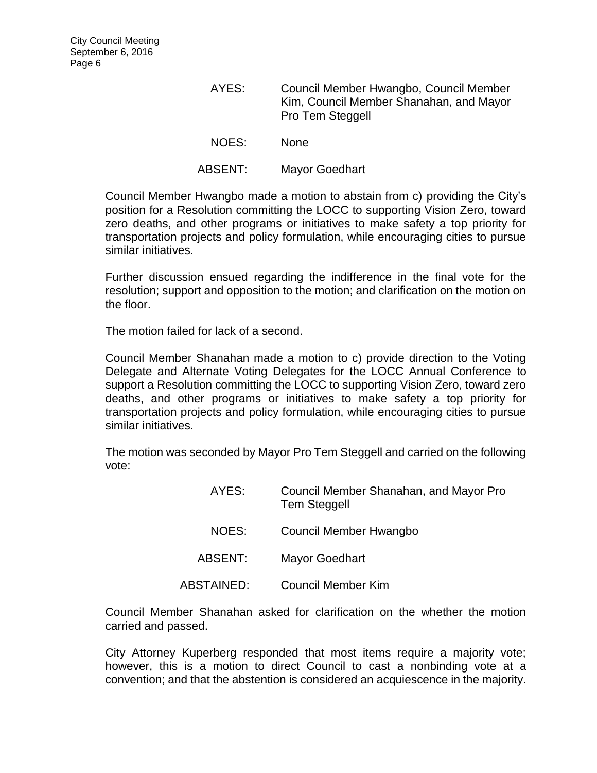| AYES:   | Council Member Hwangbo, Council Member<br>Kim, Council Member Shanahan, and Mayor<br>Pro Tem Steggell |
|---------|-------------------------------------------------------------------------------------------------------|
| NOES:   | <b>None</b>                                                                                           |
| ABSENT: | <b>Mayor Goedhart</b>                                                                                 |

Council Member Hwangbo made a motion to abstain from c) providing the City's position for a Resolution committing the LOCC to supporting Vision Zero, toward zero deaths, and other programs or initiatives to make safety a top priority for transportation projects and policy formulation, while encouraging cities to pursue similar initiatives.

Further discussion ensued regarding the indifference in the final vote for the resolution; support and opposition to the motion; and clarification on the motion on the floor.

The motion failed for lack of a second.

Council Member Shanahan made a motion to c) provide direction to the Voting Delegate and Alternate Voting Delegates for the LOCC Annual Conference to support a Resolution committing the LOCC to supporting Vision Zero, toward zero deaths, and other programs or initiatives to make safety a top priority for transportation projects and policy formulation, while encouraging cities to pursue similar initiatives.

The motion was seconded by Mayor Pro Tem Steggell and carried on the following vote:

| AYES:      | Council Member Shanahan, and Mayor Pro<br><b>Tem Steggell</b> |
|------------|---------------------------------------------------------------|
| NOES:      | Council Member Hwangbo                                        |
| ABSENT:    | <b>Mayor Goedhart</b>                                         |
| ABSTAINED: | Council Member Kim                                            |

Council Member Shanahan asked for clarification on the whether the motion carried and passed.

City Attorney Kuperberg responded that most items require a majority vote; however, this is a motion to direct Council to cast a nonbinding vote at a convention; and that the abstention is considered an acquiescence in the majority.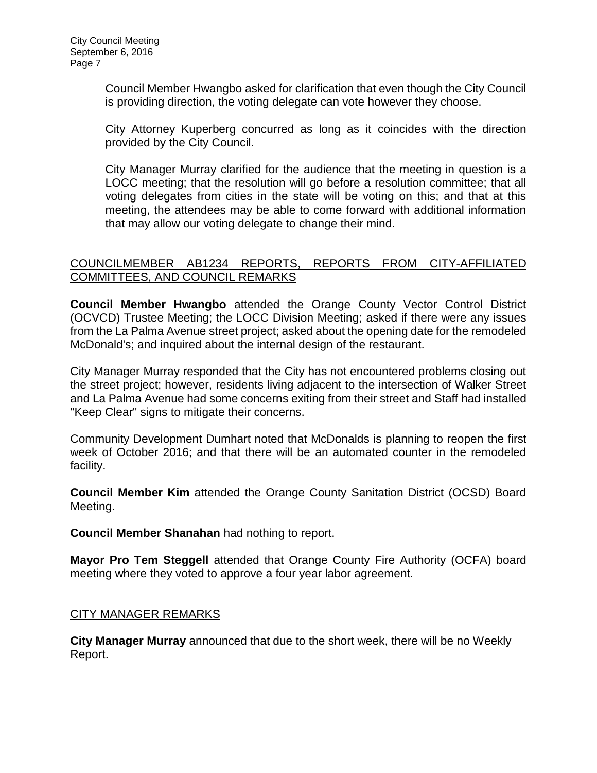Council Member Hwangbo asked for clarification that even though the City Council is providing direction, the voting delegate can vote however they choose.

City Attorney Kuperberg concurred as long as it coincides with the direction provided by the City Council.

City Manager Murray clarified for the audience that the meeting in question is a LOCC meeting; that the resolution will go before a resolution committee; that all voting delegates from cities in the state will be voting on this; and that at this meeting, the attendees may be able to come forward with additional information that may allow our voting delegate to change their mind.

## [COUNCILMEMBER AB1234 REPORTS, REPORTS FROM CITY-AFFILIATED](http://lapalma.granicus.com/MediaPlayer.php?view_id=&clip_id=1032&meta_id=136034)  [COMMITTEES, AND COUNCIL REMARKS](http://lapalma.granicus.com/MediaPlayer.php?view_id=&clip_id=1032&meta_id=136034)

**Council Member Hwangbo** attended the Orange County Vector Control District (OCVCD) Trustee Meeting; the LOCC Division Meeting; asked if there were any issues from the La Palma Avenue street project; asked about the opening date for the remodeled McDonald's; and inquired about the internal design of the restaurant.

City Manager Murray responded that the City has not encountered problems closing out the street project; however, residents living adjacent to the intersection of Walker Street and La Palma Avenue had some concerns exiting from their street and Staff had installed "Keep Clear" signs to mitigate their concerns.

Community Development Dumhart noted that McDonalds is planning to reopen the first week of October 2016; and that there will be an automated counter in the remodeled facility.

**Council Member Kim** attended the Orange County Sanitation District (OCSD) Board Meeting.

**Council Member Shanahan** had nothing to report.

**Mayor Pro Tem Steggell** attended that Orange County Fire Authority (OCFA) board meeting where they voted to approve a four year labor agreement.

## [CITY MANAGER REMARKS](http://lapalma.granicus.com/MediaPlayer.php?view_id=&clip_id=1032&meta_id=136042)

**City Manager Murray** announced that due to the short week, there will be no Weekly Report.